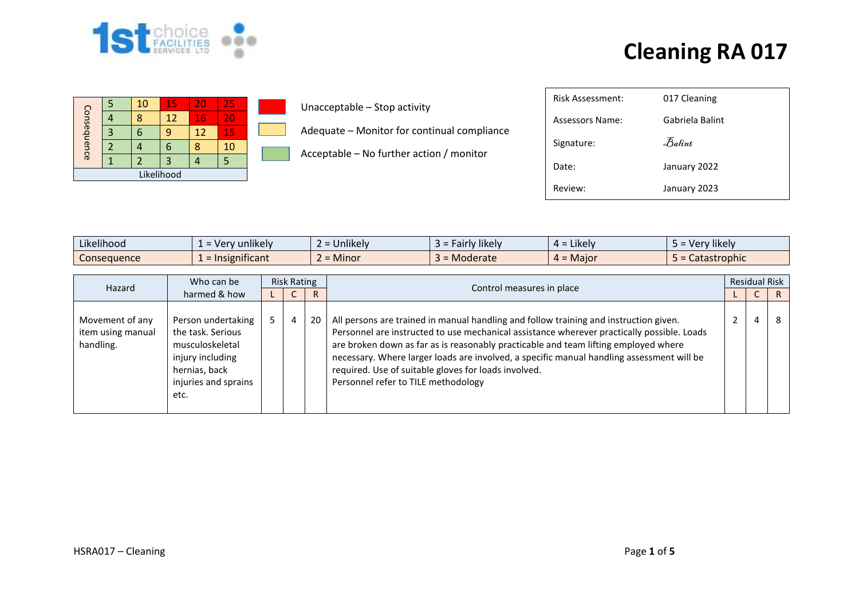

| Consequence |  | 10 | 15 | 20 | 25 |  |  |  |  |  |
|-------------|--|----|----|----|----|--|--|--|--|--|
|             |  |    | 12 | 16 | 20 |  |  |  |  |  |
|             |  |    |    | 12 | 15 |  |  |  |  |  |
|             |  |    |    |    | 10 |  |  |  |  |  |
|             |  |    | 3  |    |    |  |  |  |  |  |
| Likelihood  |  |    |    |    |    |  |  |  |  |  |

Unacceptable – Stop activity

Adequate – Monitor for continual compliance

Acceptable – No further action / monitor

| Risk Assessment: | 017 Cleaning    |
|------------------|-----------------|
| Assessors Name:  | Gabriela Balint |
| Signature:       | Balint          |
| Date:            | January 2022    |
| Review:          | January 2023    |

| $\cdots$<br>.<br>Likelihood | $\cdots$<br>nlikelv<br>$=$ $V$ $e$                       | <b>Jnlikely</b> | .<br>likely<br>-air<br>- IV | Likely<br>д = | $\cdots$<br>/likelv<br><b>Ver</b> |
|-----------------------------|----------------------------------------------------------|-----------------|-----------------------------|---------------|-----------------------------------|
| consequence                 | $\cdot$ $\cdot$<br>$1 + 1 - 2 - 1$<br>= ir<br>unifican L | Minor           | <i><b>Aoderate</b></i>      | $=$ Maior     | Jatastrophic                      |

|                                                   | Who can be                                                                                                                      | <b>Risk Rating</b> |   |    |                                                                                                                                                                                                                                                                                                                                                                                                                                                                        | <b>Residual Risk</b> |   |   |  |
|---------------------------------------------------|---------------------------------------------------------------------------------------------------------------------------------|--------------------|---|----|------------------------------------------------------------------------------------------------------------------------------------------------------------------------------------------------------------------------------------------------------------------------------------------------------------------------------------------------------------------------------------------------------------------------------------------------------------------------|----------------------|---|---|--|
| Hazard<br>harmed & how                            |                                                                                                                                 |                    | ◡ | R. | Control measures in place                                                                                                                                                                                                                                                                                                                                                                                                                                              |                      | ◡ | R |  |
| Movement of any<br>item using manual<br>handling. | Person undertaking<br>the task. Serious<br>musculoskeletal<br>injury including<br>hernias, back<br>injuries and sprains<br>etc. |                    | 4 | 20 | All persons are trained in manual handling and follow training and instruction given.<br>Personnel are instructed to use mechanical assistance wherever practically possible. Loads<br>are broken down as far as is reasonably practicable and team lifting employed where<br>necessary. Where larger loads are involved, a specific manual handling assessment will be<br>required. Use of suitable gloves for loads involved.<br>Personnel refer to TILE methodology |                      |   | 8 |  |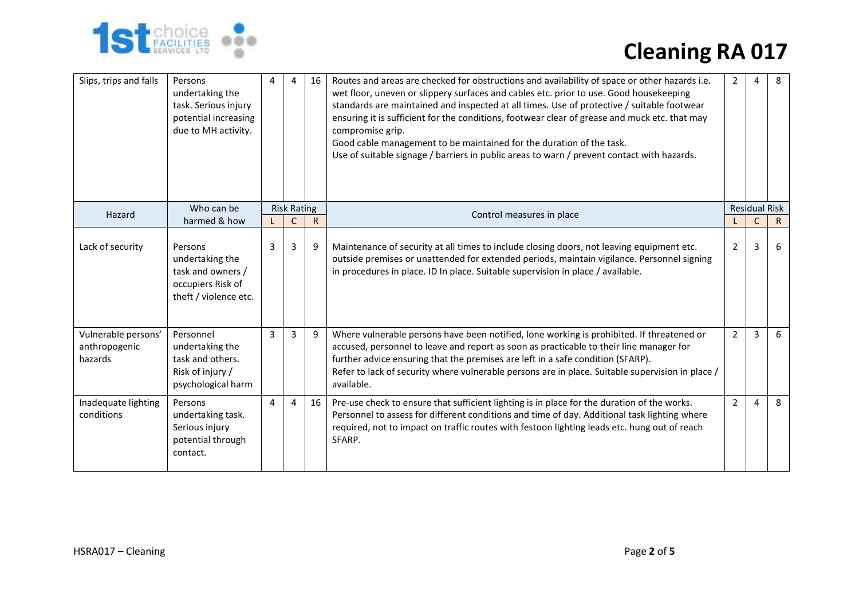

| Slips, trips and falls                          | Persons<br>undertaking the<br>task. Serious injury<br>potential increasing<br>due to MH activity. | 4 | Δ                  | 16        | Routes and areas are checked for obstructions and availability of space or other hazards i.e.<br>wet floor, uneven or slippery surfaces and cables etc. prior to use. Good housekeeping<br>standards are maintained and inspected at all times. Use of protective / suitable footwear<br>ensuring it is sufficient for the conditions, footwear clear of grease and muck etc. that may<br>compromise grip.<br>Good cable management to be maintained for the duration of the task.<br>Use of suitable signage / barriers in public areas to warn / prevent contact with hazards. | 2              |                      | 8            |
|-------------------------------------------------|---------------------------------------------------------------------------------------------------|---|--------------------|-----------|----------------------------------------------------------------------------------------------------------------------------------------------------------------------------------------------------------------------------------------------------------------------------------------------------------------------------------------------------------------------------------------------------------------------------------------------------------------------------------------------------------------------------------------------------------------------------------|----------------|----------------------|--------------|
|                                                 | Who can be                                                                                        |   | <b>Risk Rating</b> |           | Control measures in place                                                                                                                                                                                                                                                                                                                                                                                                                                                                                                                                                        |                | <b>Residual Risk</b> |              |
| Hazard                                          | harmed & how                                                                                      |   | $\mathsf{C}$       | ${\sf R}$ |                                                                                                                                                                                                                                                                                                                                                                                                                                                                                                                                                                                  |                | C                    | $\mathsf{R}$ |
| Lack of security                                | Persons<br>undertaking the<br>task and owners /<br>occupiers Risk of<br>theft / violence etc.     | 3 | 3                  | 9         | Maintenance of security at all times to include closing doors, not leaving equipment etc.<br>outside premises or unattended for extended periods, maintain vigilance. Personnel signing<br>in procedures in place. ID In place. Suitable supervision in place / available.                                                                                                                                                                                                                                                                                                       | 2              | 3                    | 6            |
| Vulnerable persons'<br>anthropogenic<br>hazards | Personnel<br>undertaking the<br>task and others.<br>Risk of injury /<br>psychological harm        | 3 | 3                  | 9         | Where vulnerable persons have been notified, lone working is prohibited. If threatened or<br>accused, personnel to leave and report as soon as practicable to their line manager for<br>further advice ensuring that the premises are left in a safe condition (SFARP).<br>Refer to lack of security where vulnerable persons are in place. Suitable supervision in place /<br>available.                                                                                                                                                                                        | $\overline{2}$ | 3                    | 6            |
| Inadequate lighting<br>conditions               | Persons<br>undertaking task.<br>Serious injury<br>potential through<br>contact.                   | 4 | 4                  | 16        | Pre-use check to ensure that sufficient lighting is in place for the duration of the works.<br>Personnel to assess for different conditions and time of day. Additional task lighting where<br>required, not to impact on traffic routes with festoon lighting leads etc. hung out of reach<br>SFARP.                                                                                                                                                                                                                                                                            | 2              | $\overline{a}$       | 8            |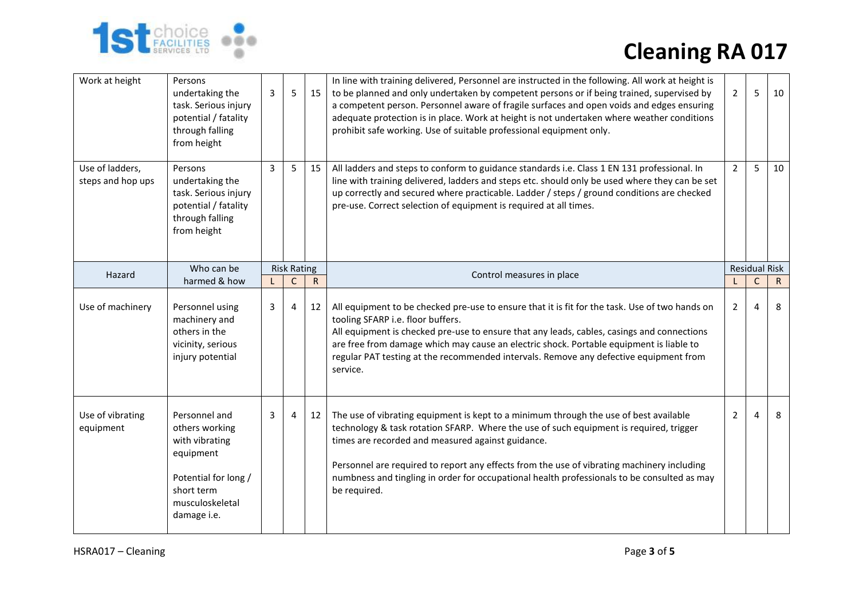

| Work at height                       | Persons<br>undertaking the<br>task. Serious injury<br>potential / fatality<br>through falling<br>from height                           | 3 | 5                  | 15        | In line with training delivered, Personnel are instructed in the following. All work at height is<br>to be planned and only undertaken by competent persons or if being trained, supervised by<br>a competent person. Personnel aware of fragile surfaces and open voids and edges ensuring<br>adequate protection is in place. Work at height is not undertaken where weather conditions<br>prohibit safe working. Use of suitable professional equipment only. | $2^{\circ}$    | 5              | 10                   |
|--------------------------------------|----------------------------------------------------------------------------------------------------------------------------------------|---|--------------------|-----------|------------------------------------------------------------------------------------------------------------------------------------------------------------------------------------------------------------------------------------------------------------------------------------------------------------------------------------------------------------------------------------------------------------------------------------------------------------------|----------------|----------------|----------------------|
| Use of ladders,<br>steps and hop ups | Persons<br>undertaking the<br>task. Serious injury<br>potential / fatality<br>through falling<br>from height                           | 3 | 5 <sup>1</sup>     | 15        | All ladders and steps to conform to guidance standards i.e. Class 1 EN 131 professional. In<br>line with training delivered, ladders and steps etc. should only be used where they can be set<br>up correctly and secured where practicable. Ladder / steps / ground conditions are checked<br>pre-use. Correct selection of equipment is required at all times.                                                                                                 | $\overline{2}$ | 5              | 10                   |
| Hazard                               | Who can be                                                                                                                             |   | <b>Risk Rating</b> |           |                                                                                                                                                                                                                                                                                                                                                                                                                                                                  |                |                | <b>Residual Risk</b> |
|                                      | harmed & how                                                                                                                           |   | C                  | ${\sf R}$ | Control measures in place                                                                                                                                                                                                                                                                                                                                                                                                                                        | L              | $\mathsf{C}$   | $\mathsf{R}$         |
| Use of machinery                     | Personnel using<br>machinery and<br>others in the<br>vicinity, serious<br>injury potential                                             | 3 | 4                  | 12        | All equipment to be checked pre-use to ensure that it is fit for the task. Use of two hands on<br>tooling SFARP i.e. floor buffers.<br>All equipment is checked pre-use to ensure that any leads, cables, casings and connections<br>are free from damage which may cause an electric shock. Portable equipment is liable to<br>regular PAT testing at the recommended intervals. Remove any defective equipment from<br>service.                                | $\overline{2}$ | 4              | 8                    |
| Use of vibrating<br>equipment        | Personnel and<br>others working<br>with vibrating<br>equipment<br>Potential for long /<br>short term<br>musculoskeletal<br>damage i.e. | 3 | 4                  | 12        | The use of vibrating equipment is kept to a minimum through the use of best available<br>technology & task rotation SFARP. Where the use of such equipment is required, trigger<br>times are recorded and measured against guidance.<br>Personnel are required to report any effects from the use of vibrating machinery including<br>numbness and tingling in order for occupational health professionals to be consulted as may<br>be required.                | $\overline{2}$ | $\overline{4}$ | 8                    |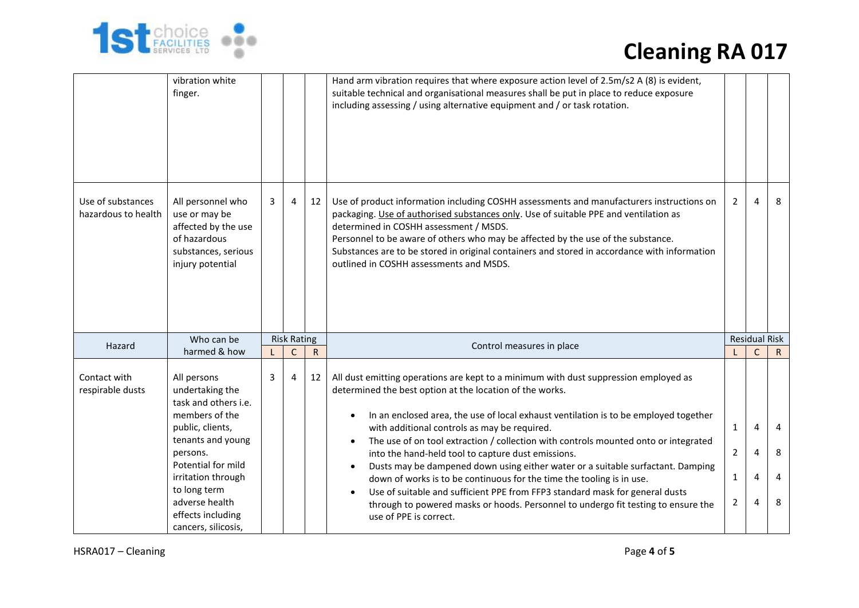

|                                          | vibration white<br>finger.                                                                                                                                                                                                                              |   |                    |           | Hand arm vibration requires that where exposure action level of 2.5m/s2 A (8) is evident,<br>suitable technical and organisational measures shall be put in place to reduce exposure<br>including assessing / using alternative equipment and / or task rotation.                                                                                                                                                                                                                                                                                                                                                                                                                                                                                                                                |                                          |                                            |                               |  |
|------------------------------------------|---------------------------------------------------------------------------------------------------------------------------------------------------------------------------------------------------------------------------------------------------------|---|--------------------|-----------|--------------------------------------------------------------------------------------------------------------------------------------------------------------------------------------------------------------------------------------------------------------------------------------------------------------------------------------------------------------------------------------------------------------------------------------------------------------------------------------------------------------------------------------------------------------------------------------------------------------------------------------------------------------------------------------------------------------------------------------------------------------------------------------------------|------------------------------------------|--------------------------------------------|-------------------------------|--|
| Use of substances<br>hazardous to health | All personnel who<br>use or may be<br>affected by the use<br>of hazardous<br>substances, serious<br>injury potential                                                                                                                                    | 3 | $\overline{4}$     | 12        | Use of product information including COSHH assessments and manufacturers instructions on<br>packaging. Use of authorised substances only. Use of suitable PPE and ventilation as<br>determined in COSHH assessment / MSDS.<br>Personnel to be aware of others who may be affected by the use of the substance.<br>Substances are to be stored in original containers and stored in accordance with information<br>outlined in COSHH assessments and MSDS.                                                                                                                                                                                                                                                                                                                                        | $\overline{2}$                           | $\overline{4}$                             | 8                             |  |
|                                          | Who can be                                                                                                                                                                                                                                              |   | <b>Risk Rating</b> |           |                                                                                                                                                                                                                                                                                                                                                                                                                                                                                                                                                                                                                                                                                                                                                                                                  |                                          |                                            | <b>Residual Risk</b>          |  |
| Hazard                                   | harmed & how                                                                                                                                                                                                                                            |   | $\mathsf{C}$       | ${\sf R}$ | Control measures in place                                                                                                                                                                                                                                                                                                                                                                                                                                                                                                                                                                                                                                                                                                                                                                        |                                          | C                                          | $\mathsf{R}$                  |  |
| Contact with<br>respirable dusts         | All persons<br>undertaking the<br>task and others i.e.<br>members of the<br>public, clients,<br>tenants and young<br>persons.<br>Potential for mild<br>irritation through<br>to long term<br>adverse health<br>effects including<br>cancers, silicosis, | 3 | 4                  | 12        | All dust emitting operations are kept to a minimum with dust suppression employed as<br>determined the best option at the location of the works.<br>In an enclosed area, the use of local exhaust ventilation is to be employed together<br>with additional controls as may be required.<br>The use of on tool extraction / collection with controls mounted onto or integrated<br>into the hand-held tool to capture dust emissions.<br>Dusts may be dampened down using either water or a suitable surfactant. Damping<br>down of works is to be continuous for the time the tooling is in use.<br>Use of suitable and sufficient PPE from FFP3 standard mask for general dusts<br>through to powered masks or hoods. Personnel to undergo fit testing to ensure the<br>use of PPE is correct. | $\mathbf{1}$<br>$\overline{2}$<br>1<br>2 | $\overline{4}$<br>4<br>4<br>$\overline{4}$ | $\overline{a}$<br>8<br>4<br>8 |  |